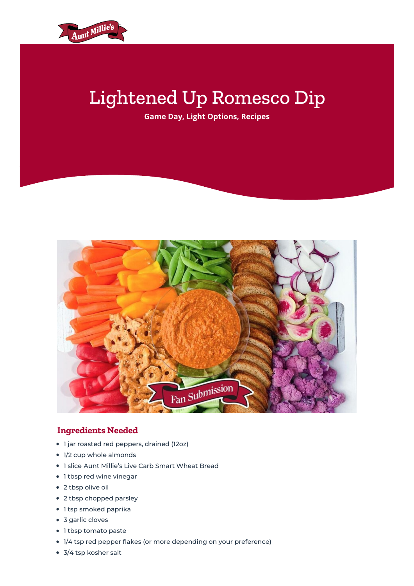

## Lightened Up Romesco Dip

**[Game](http://auntmillies.com/category/game-day/) Day, Light [Options](http://auntmillies.com/category/light-options/), [Recipes](http://auntmillies.com/category/recipes/)**



## **Ingredients Needed**

- 1 jar roasted red peppers, drained (12oz)
- 1/2 cup whole almonds
- 1 slice Aunt Millie's Live Carb Smart [Wheat](http://auntmillies.com/product/live-carb-smart-wheat-bread/) Bread
- 1 tbsp red wine vinegar
- 2 tbsp olive oil
- 2 tbsp chopped parsley
- 1 tsp smoked paprika
- 3 garlic cloves
- 1 tbsp tomato paste
- 1/4 tsp red pepper flakes (or more depending on your preference)
- 3/4 tsp kosher salt